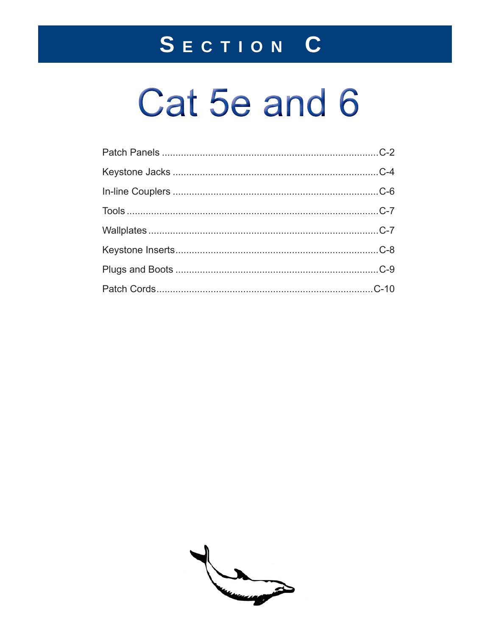## SECTION C

# Cat 5e and 6

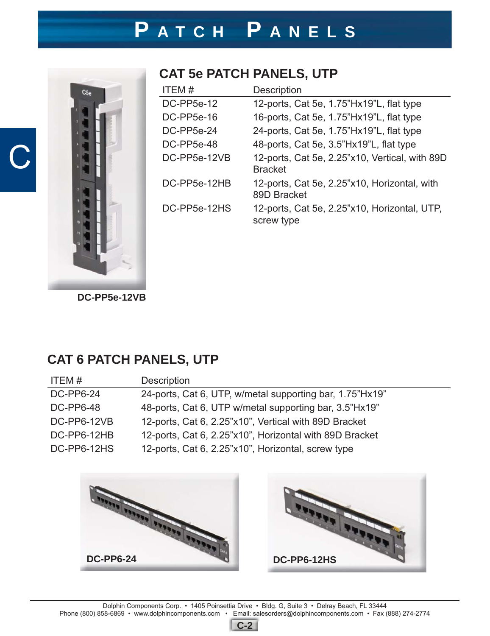### **P ATCH P ANELS**



C

#### **CAT 5e PATCH PANELS, UTP**

| ITEM#        | <b>Description</b>                                               |
|--------------|------------------------------------------------------------------|
| DC-PP5e-12   | 12-ports, Cat 5e, 1.75"Hx19"L, flat type                         |
| DC-PP5e-16   | 16-ports, Cat 5e, 1.75"Hx19"L, flat type                         |
| DC-PP5e-24   | 24-ports, Cat 5e, 1.75"Hx19"L, flat type                         |
| DC-PP5e-48   | 48-ports, Cat 5e, 3.5"Hx19"L, flat type                          |
| DC-PP5e-12VB | 12-ports, Cat 5e, 2.25"x10, Vertical, with 89D<br><b>Bracket</b> |
| DC-PP5e-12HB | 12-ports, Cat 5e, 2.25"x10, Horizontal, with<br>89D Bracket      |
| DC-PP5e-12HS | 12-ports, Cat 5e, 2.25"x10, Horizontal, UTP,<br>screw type       |

**DC-PP5e-12VB**

#### **CAT 6 PATCH PANELS, UTP**

| ITEM#            | Description                                              |
|------------------|----------------------------------------------------------|
| <b>DC-PP6-24</b> | 24-ports, Cat 6, UTP, w/metal supporting bar, 1.75"Hx19" |
| <b>DC-PP6-48</b> | 48-ports, Cat 6, UTP w/metal supporting bar, 3.5"Hx19"   |
| DC-PP6-12VB      | 12-ports, Cat 6, 2.25"x10", Vertical with 89D Bracket    |
| DC-PP6-12HB      | 12-ports, Cat 6, 2.25"x10", Horizontal with 89D Bracket  |
| DC-PP6-12HS      | 12-ports, Cat 6, 2.25"x10", Horizontal, screw type       |





**C-2**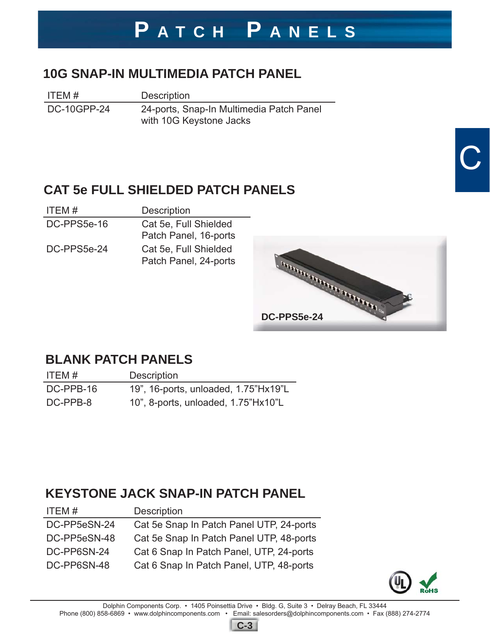### **P ATCH P ANELS**

#### **10G SNAP-IN MULTIMEDIA PATCH PANEL**

ITEM # Description

DC-10GPP-24 24-ports, Snap-In Multimedia Patch Panel with 10G Keystone Jacks

#### **CAT 5e FULL SHIELDED PATCH PANELS**

| ITEM#       | <b>Description</b>                             |
|-------------|------------------------------------------------|
| DC-PPS5e-16 | Cat 5e, Full Shielded<br>Patch Panel, 16-ports |
| DC-PPS5e-24 | Cat 5e, Full Shielded<br>Patch Panel, 24-ports |



#### **BLANK PATCH PANELS**

| ITEM #    | <b>Description</b>                   |
|-----------|--------------------------------------|
| DC-PPB-16 | 19", 16-ports, unloaded, 1.75"Hx19"L |
| DC-PPB-8  | 10", 8-ports, unloaded, 1.75"Hx10"L  |

#### **KEYSTONE JACK SNAP-IN PATCH PANEL**

| ITEM#        | Description                              |
|--------------|------------------------------------------|
| DC-PP5eSN-24 | Cat 5e Snap In Patch Panel UTP, 24-ports |
| DC-PP5eSN-48 | Cat 5e Snap In Patch Panel UTP, 48-ports |
| DC-PP6SN-24  | Cat 6 Snap In Patch Panel, UTP, 24-ports |
| DC-PP6SN-48  | Cat 6 Snap In Patch Panel, UTP, 48-ports |
|              |                                          |



C

Dolphin Components Corp. • 1405 Poinsettia Drive • Bldg. G, Suite 3 • Delray Beach, FL 33444 Phone (800) 858-6869 • www.dolphincomponents.com • Email: salesorders@dolphincomponents.com • Fax (888) 274-2774 **C-3**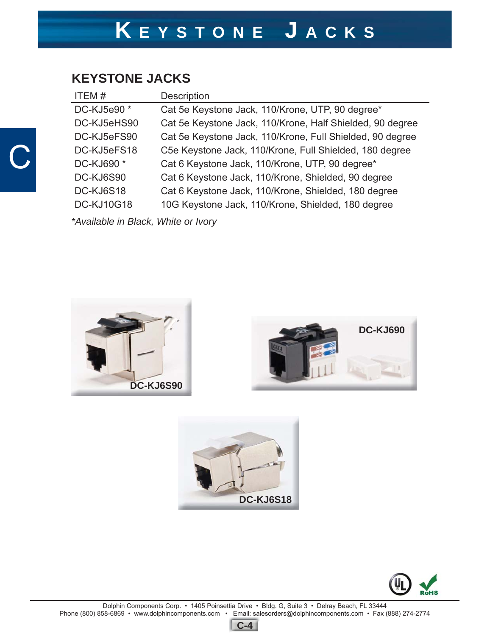#### **KEYSTONE JACKS**

C

| ITEM#                               | <b>Description</b>                                        |  |
|-------------------------------------|-----------------------------------------------------------|--|
| DC-KJ5e90 *                         | Cat 5e Keystone Jack, 110/Krone, UTP, 90 degree*          |  |
| DC-KJ5eHS90                         | Cat 5e Keystone Jack, 110/Krone, Half Shielded, 90 degree |  |
| DC-KJ5eFS90                         | Cat 5e Keystone Jack, 110/Krone, Full Shielded, 90 degree |  |
| DC-KJ5eFS18                         | C5e Keystone Jack, 110/Krone, Full Shielded, 180 degree   |  |
| DC-KJ690 *                          | Cat 6 Keystone Jack, 110/Krone, UTP, 90 degree*           |  |
| DC-KJ6S90                           | Cat 6 Keystone Jack, 110/Krone, Shielded, 90 degree       |  |
| DC-KJ6S18                           | Cat 6 Keystone Jack, 110/Krone, Shielded, 180 degree      |  |
| <b>DC-KJ10G18</b>                   | 10G Keystone Jack, 110/Krone, Shielded, 180 degree        |  |
| *Available in Black, White or Ivory |                                                           |  |

**DC-KJ6S90**







Dolphin Components Corp. • 1405 Poinsettia Drive • Bldg. G, Suite 3 • Delray Beach, FL 33444 Phone (800) 858-6869 • www.dolphincomponents.com • Email: salesorders@dolphincomponents.com • Fax (888) 274-2774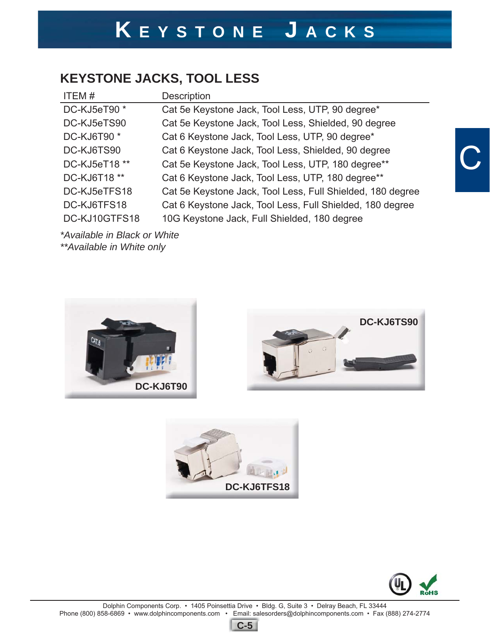### **KEYSTONE JACKS, TOOL LESS**

| ITEM#         | Description                                                |
|---------------|------------------------------------------------------------|
| DC-KJ5eT90*   | Cat 5e Keystone Jack, Tool Less, UTP, 90 degree*           |
| DC-KJ5eTS90   | Cat 5e Keystone Jack, Tool Less, Shielded, 90 degree       |
| DC-KJ6T90 *   | Cat 6 Keystone Jack, Tool Less, UTP, 90 degree*            |
| DC-KJ6TS90    | Cat 6 Keystone Jack, Tool Less, Shielded, 90 degree        |
| DC-KJ5eT18 ** | Cat 5e Keystone Jack, Tool Less, UTP, 180 degree**         |
| DC-KJ6T18 **  | Cat 6 Keystone Jack, Tool Less, UTP, 180 degree**          |
| DC-KJ5eTFS18  | Cat 5e Keystone Jack, Tool Less, Full Shielded, 180 degree |
| DC-KJ6TFS18   | Cat 6 Keystone Jack, Tool Less, Full Shielded, 180 degree  |
| DC-KJ10GTFS18 | 10G Keystone Jack, Full Shielded, 180 degree               |

*\*Available in Black or White \*\*Available in White only*









C

Dolphin Components Corp. • 1405 Poinsettia Drive • Bldg. G, Suite 3 • Delray Beach, FL 33444 Phone (800) 858-6869 • www.dolphincomponents.com • Email: salesorders@dolphincomponents.com • Fax (888) 274-2774

**C-5**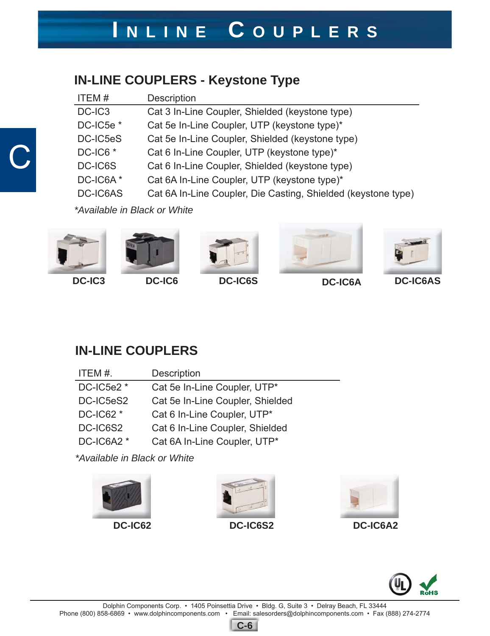#### **IN-LINE COUPLERS - Keystone Type**

| ITEM#                | Description                                                   |
|----------------------|---------------------------------------------------------------|
| DC-IC3               | Cat 3 In-Line Coupler, Shielded (keystone type)               |
| DC-IC5e <sup>*</sup> | Cat 5e In-Line Coupler, UTP (keystone type)*                  |
| DC-IC5eS             | Cat 5e In-Line Coupler, Shielded (keystone type)              |
| DC-IC6 <sup>*</sup>  | Cat 6 In-Line Coupler, UTP (keystone type)*                   |
| DC-IC6S              | Cat 6 In-Line Coupler, Shielded (keystone type)               |
| DC-IC6A*             | Cat 6A In-Line Coupler, UTP (keystone type)*                  |
| <b>DC-IC6AS</b>      | Cat 6A In-Line Coupler, Die Casting, Shielded (keystone type) |

*\*Available in Black or White*



C









#### **IN-LINE COUPLERS**

| Description                      |
|----------------------------------|
| Cat 5e In-Line Coupler, UTP*     |
| Cat 5e In-Line Coupler, Shielded |
| Cat 6 In-Line Coupler, UTP*      |
| Cat 6 In-Line Coupler, Shielded  |
| Cat 6A In-Line Coupler, UTP*     |
|                                  |

*\*Available in Black or White*









**C-6**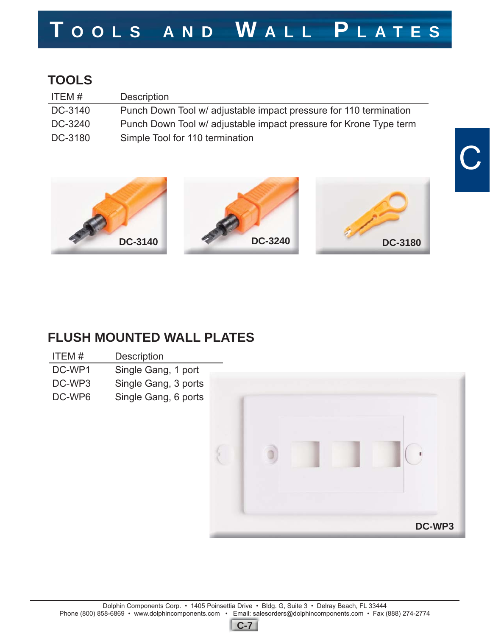## **T OOLS AND W ALL P LATES**

### **TOOLS**

| ITEM#   | <b>Description</b>                                                |
|---------|-------------------------------------------------------------------|
| DC-3140 | Punch Down Tool w/ adjustable impact pressure for 110 termination |
| DC-3240 | Punch Down Tool w/ adjustable impact pressure for Krone Type term |
| DC-3180 | Simple Tool for 110 termination                                   |



#### **FLUSH MOUNTED WALL PLATES**

| ITFM#  | <b>Description</b>   |  |
|--------|----------------------|--|
| DC-WP1 | Single Gang, 1 port  |  |
| DC-WP3 | Single Gang, 3 ports |  |
| DC-WP6 | Single Gang, 6 ports |  |



C

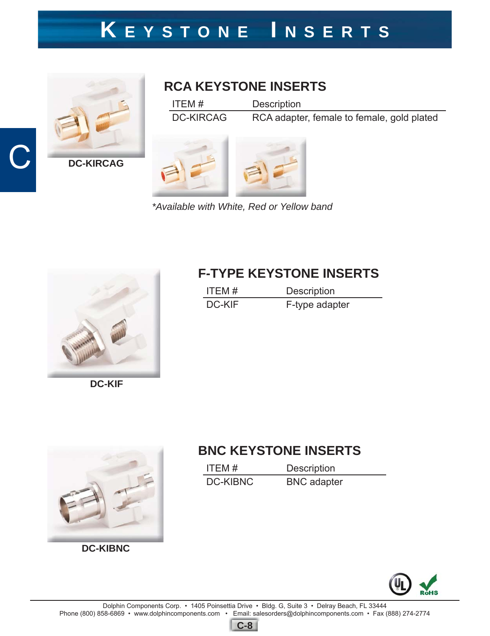### **K EYSTONE I NSERTS**



C

#### **RCA KEYSTONE INSERTS**

ITEM # Description DC-KIRCAG RCA adapter, female to female, gold plated

*\*Available with White, Red or Yellow band*



**DC-KIF**



**DC-KIBNC**

#### **F-TYPE KEYSTONE INSERTS**

| ITEM#  | <b>Description</b> |
|--------|--------------------|
| DC-KIF | F-type adapter     |

### **BNC KEYSTONE INSERTS**

| ITFM#           | <b>Description</b> |
|-----------------|--------------------|
| <b>DC-KIBNC</b> | <b>BNC</b> adapter |



**C-8**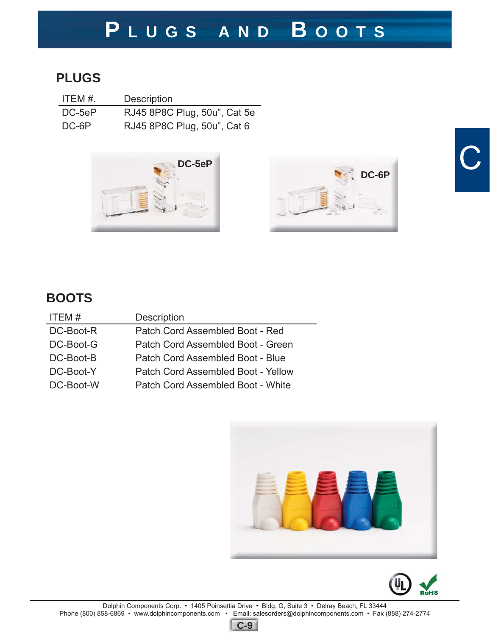### **P LUGS AND B OOTS**

#### **PLUGS**

| ITEM #. | <b>Description</b>           |
|---------|------------------------------|
| DC-5eP  | RJ45 8P8C Plug, 50u", Cat 5e |
| DC-6P   | RJ45 8P8C Plug, 50u", Cat 6  |





# **D**

### **BOOTS**

| <b>Description</b>                 |
|------------------------------------|
| Patch Cord Assembled Boot - Red    |
| Patch Cord Assembled Boot - Green  |
| Patch Cord Assembled Boot - Blue   |
| Patch Cord Assembled Boot - Yellow |
| Patch Cord Assembled Boot - White  |
|                                    |





Dolphin Components Corp. • 1405 Poinsettia Drive • Bldg. G, Suite 3 • Delray Beach, FL 33444 Phone (800) 858-6869 • www.dolphincomponents.com • Email: salesorders@dolphincomponents.com • Fax (888) 274-2774

**C-9**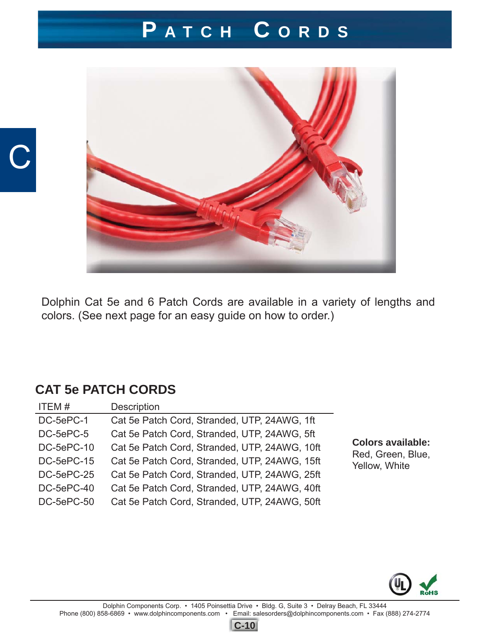### **P ATCH C ORDS**



Dolphin Cat 5e and 6 Patch Cords are available in a variety of lengths and colors. (See next page for an easy guide on how to order.)

#### **CAT 5e PATCH CORDS**

C

| ITEM#      | Description                                   |                                               |
|------------|-----------------------------------------------|-----------------------------------------------|
| DC-5ePC-1  | Cat 5e Patch Cord, Stranded, UTP, 24AWG, 1ft  |                                               |
| DC-5ePC-5  | Cat 5e Patch Cord, Stranded, UTP, 24AWG, 5ft  |                                               |
| DC-5ePC-10 | Cat 5e Patch Cord, Stranded, UTP, 24AWG, 10ft | <b>Colors available:</b><br>Red, Green, Blue, |
| DC-5ePC-15 | Cat 5e Patch Cord, Stranded, UTP, 24AWG, 15ft | Yellow, White                                 |
| DC-5ePC-25 | Cat 5e Patch Cord, Stranded, UTP, 24AWG, 25ft |                                               |
| DC-5ePC-40 | Cat 5e Patch Cord, Stranded, UTP, 24AWG, 40ft |                                               |
| DC-5ePC-50 | Cat 5e Patch Cord, Stranded, UTP, 24AWG, 50ft |                                               |
|            |                                               |                                               |



**C-10**